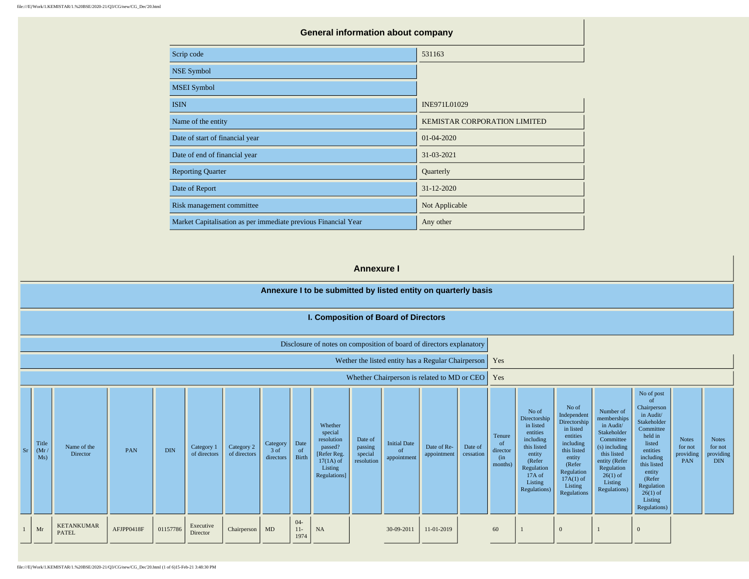| <b>General information about company</b>                       |                              |  |  |  |  |  |  |  |  |
|----------------------------------------------------------------|------------------------------|--|--|--|--|--|--|--|--|
| Scrip code                                                     | 531163                       |  |  |  |  |  |  |  |  |
| <b>NSE Symbol</b>                                              |                              |  |  |  |  |  |  |  |  |
| <b>MSEI</b> Symbol                                             |                              |  |  |  |  |  |  |  |  |
| <b>ISIN</b>                                                    | INE971L01029                 |  |  |  |  |  |  |  |  |
| Name of the entity                                             | KEMISTAR CORPORATION LIMITED |  |  |  |  |  |  |  |  |
| Date of start of financial year                                | 01-04-2020                   |  |  |  |  |  |  |  |  |
| Date of end of financial year                                  | 31-03-2021                   |  |  |  |  |  |  |  |  |
| <b>Reporting Quarter</b>                                       | Quarterly                    |  |  |  |  |  |  |  |  |
| Date of Report                                                 | 31-12-2020                   |  |  |  |  |  |  |  |  |
| Risk management committee                                      | Not Applicable               |  |  |  |  |  |  |  |  |
| Market Capitalisation as per immediate previous Financial Year | Any other                    |  |  |  |  |  |  |  |  |

### **Annexure I**

# **Annexure I to be submitted by listed entity on quarterly basis**

| I. Composition of Board of Directors |  |
|--------------------------------------|--|
|--------------------------------------|--|

|  |  | Disclosure of notes on composition of board of directors explanatory |
|--|--|----------------------------------------------------------------------|
|--|--|----------------------------------------------------------------------|

| Wether the listed entity has a Regular Chairperson   Yes |  |
|----------------------------------------------------------|--|
|----------------------------------------------------------|--|

Whether Chairperson is related to MD or CEO  $\overline{\phantom{a}}$  Yes

| Sr | Title<br>(Mr /<br>Ms) | Name of the<br>Director           | PAN        | <b>DIN</b> | Category 1<br>of directors | Category 2<br>of directors | Category<br>3 of<br>directors | Date<br><sub>of</sub><br>Birth | Whether<br>special<br>resolution<br>passed?<br>[Refer Reg.<br>$17(1A)$ of<br>Listing<br>Regulations] | Date of<br>passing<br>special<br>resolution | <b>Initial Date</b><br><sub>of</sub><br>appointment | Date of Re-<br>appointment | Date of<br>cessation | Tenure<br>of<br>director<br>(in<br>months) | No of<br>Directorship<br>in listed<br>entities<br>including<br>this listed<br>entity<br>(Refer<br>Regulation<br>17A of<br>Listing<br>Regulations) | No of<br>Independent<br>Directorship<br>in listed<br>entities<br>including<br>this listed<br>entity<br>(Refer<br>Regulation<br>$17A(1)$ of<br>Listing<br>Regulations | Number of<br>memberships<br>in Audit/<br>Stakeholder<br>Committee<br>(s) including<br>this listed<br>entity (Refer<br>Regulation<br>$26(1)$ of<br>Listing<br>Regulations) | No of post<br>-of<br>Chairperson<br>in Audit/<br>Stakeholder<br>Committee<br>held in<br>listed<br>entities<br>including<br>this listed<br>entity<br>(Refer<br>Regulation<br>$26(1)$ of<br>Listing<br>Regulations) | <b>Notes</b><br>for not<br>providing<br>PAN | <b>Notes</b><br>for not<br>providing<br><b>DIN</b> |
|----|-----------------------|-----------------------------------|------------|------------|----------------------------|----------------------------|-------------------------------|--------------------------------|------------------------------------------------------------------------------------------------------|---------------------------------------------|-----------------------------------------------------|----------------------------|----------------------|--------------------------------------------|---------------------------------------------------------------------------------------------------------------------------------------------------|----------------------------------------------------------------------------------------------------------------------------------------------------------------------|---------------------------------------------------------------------------------------------------------------------------------------------------------------------------|-------------------------------------------------------------------------------------------------------------------------------------------------------------------------------------------------------------------|---------------------------------------------|----------------------------------------------------|
|    | Mr                    | <b>KETANKUMAR</b><br><b>PATEL</b> | AFJPP0418F | 01157786   | Executive<br>Director      | Chairperson                | MD                            | $04 -$<br>$11-$<br>1974        | <b>NA</b>                                                                                            |                                             | 30-09-2011                                          | 11-01-2019                 |                      | 60                                         |                                                                                                                                                   | $\overline{0}$                                                                                                                                                       |                                                                                                                                                                           | $\overline{0}$                                                                                                                                                                                                    |                                             |                                                    |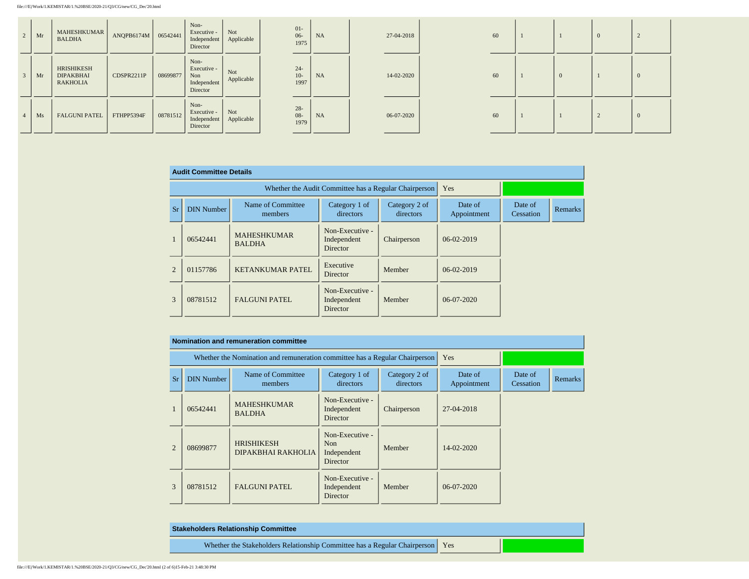| 2 | Mr | MAHESHKUMAR<br><b>BALDHA</b>                      | ANQPB6174M   06542441 |          | Non-<br>Executive -<br>Independent<br>Director        | Not<br>Applicable | $01-$<br>$06-$<br>1975   | NA        | 27-04-2018 | 60 |  | $\Omega$ |          |
|---|----|---------------------------------------------------|-----------------------|----------|-------------------------------------------------------|-------------------|--------------------------|-----------|------------|----|--|----------|----------|
|   | Mr | HRISHIKESH<br><b>DIPAKBHAI</b><br><b>RAKHOLIA</b> | CDSPR2211P            | 08699877 | Non-<br>Executive -<br>Non<br>Independent<br>Director | Not<br>Applicable | $24 -$<br>$10-$<br>1997  | <b>NA</b> | 14-02-2020 | 60 |  |          | $\theta$ |
|   | Ms | <b>FALGUNI PATEL</b>                              | FTHPP5394F            | 08781512 | Non-<br>Executive -<br>Independent<br>Director        | Not<br>Applicable | $28 -$<br>$08 -$<br>1979 | NA        | 06-07-2020 | 60 |  |          | $\Omega$ |

|           | <b>Audit Committee Details</b> |                                                                                          |                                            |                        |                      |         |  |
|-----------|--------------------------------|------------------------------------------------------------------------------------------|--------------------------------------------|------------------------|----------------------|---------|--|
|           |                                | Whether the Audit Committee has a Regular Chairperson                                    | Yes                                        |                        |                      |         |  |
| <b>Sr</b> | <b>DIN Number</b>              | Name of Committee<br>Category 1 of<br>Category 2 of<br>directors<br>directors<br>members |                                            | Date of<br>Appointment | Date of<br>Cessation | Remarks |  |
|           | 06542441                       | <b>MAHESHKUMAR</b><br><b>BALDHA</b>                                                      | Non-Executive -<br>Independent<br>Director | Chairperson            | 06-02-2019           |         |  |
| 2         | 01157786                       | <b>KETANKUMAR PATEL</b>                                                                  | Executive<br>Director                      | Member                 | 06-02-2019           |         |  |
| 3         | 08781512                       | <b>FALGUNI PATEL</b>                                                                     | Non-Executive -<br>Independent<br>Director | Member                 | 06-07-2020           |         |  |

|                | Nomination and remuneration committee |                                                                             |                                                               |             |                        |                      |                |  |  |  |  |  |  |
|----------------|---------------------------------------|-----------------------------------------------------------------------------|---------------------------------------------------------------|-------------|------------------------|----------------------|----------------|--|--|--|--|--|--|
|                |                                       | Whether the Nomination and remuneration committee has a Regular Chairperson |                                                               | Yes         |                        |                      |                |  |  |  |  |  |  |
| <b>Sr</b>      | <b>DIN Number</b>                     | Name of Committee<br>members                                                | Category 1 of<br>directors                                    |             | Date of<br>Appointment | Date of<br>Cessation | <b>Remarks</b> |  |  |  |  |  |  |
|                | 06542441                              | <b>MAHESHKUMAR</b><br><b>BALDHA</b>                                         | Non-Executive -<br>Independent<br>Director                    | Chairperson | 27-04-2018             |                      |                |  |  |  |  |  |  |
| $\overline{2}$ | 08699877                              | <b>HRISHIKESH</b><br>DIPAKBHAI RAKHOLIA                                     | Non-Executive -<br>N <sub>on</sub><br>Independent<br>Director | Member      | $14 - 02 - 2020$       |                      |                |  |  |  |  |  |  |
| 3              | 08781512                              | <b>FALGUNI PATEL</b>                                                        | Non-Executive -<br>Independent<br>Director                    | Member      | 06-07-2020             |                      |                |  |  |  |  |  |  |

| <b>Stakeholders Relationship Committee</b>                                      |  |
|---------------------------------------------------------------------------------|--|
| Whether the Stakeholders Relationship Committee has a Regular Chairperson   Yes |  |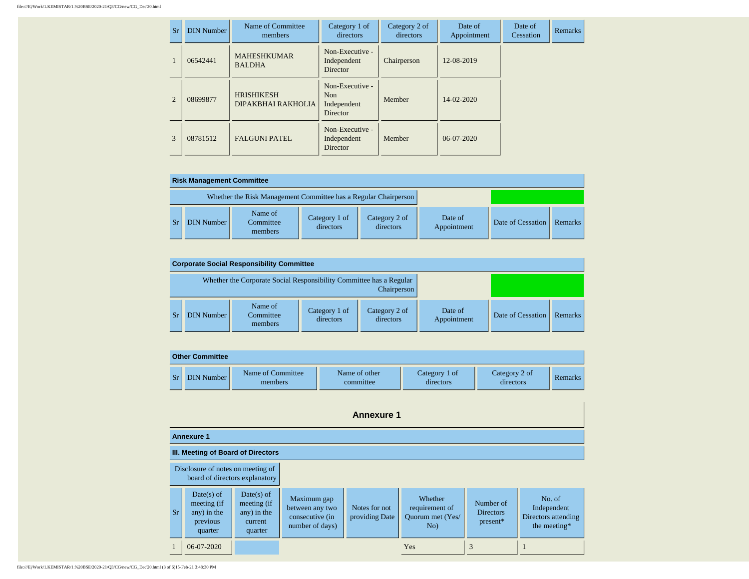| <b>Sr</b>                   | <b>DIN Number</b> | Name of Committee<br>members            | Category 1 of<br>directors                                    | Category 2 of<br>directors | Date of<br>Appointment | Date of<br>Cessation | <b>Remarks</b> |
|-----------------------------|-------------------|-----------------------------------------|---------------------------------------------------------------|----------------------------|------------------------|----------------------|----------------|
|                             | 06542441          | <b>MAHESHKUMAR</b><br><b>BALDHA</b>     | Non-Executive -<br>Independent<br><b>Director</b>             | Chairperson                | 12-08-2019             |                      |                |
| $\mathcal{D}_{\mathcal{L}}$ | 08699877          | <b>HRISHIKESH</b><br>DIPAKBHAI RAKHOLIA | Non-Executive -<br>N <sub>on</sub><br>Independent<br>Director | Member                     | $14 - 02 - 2020$       |                      |                |
| 3                           | 08781512          | <b>FALGUNI PATEL</b>                    | Non-Executive -<br>Independent<br>Director                    | Member                     | 06-07-2020             |                      |                |

| <b>Risk Management Committee</b> |                                                                 |                            |                            |                        |                   |         |  |  |  |  |  |
|----------------------------------|-----------------------------------------------------------------|----------------------------|----------------------------|------------------------|-------------------|---------|--|--|--|--|--|
|                                  | Whether the Risk Management Committee has a Regular Chairperson |                            |                            |                        |                   |         |  |  |  |  |  |
| DIN Number                       | Name of<br>Committee<br>members                                 | Category 1 of<br>directors | Category 2 of<br>directors | Date of<br>Appointment | Date of Cessation | Remarks |  |  |  |  |  |

| <b>Corporate Social Responsibility Committee</b> |                                                                     |                            |                            |                        |                   |         |  |  |  |  |  |
|--------------------------------------------------|---------------------------------------------------------------------|----------------------------|----------------------------|------------------------|-------------------|---------|--|--|--|--|--|
|                                                  | Whether the Corporate Social Responsibility Committee has a Regular |                            |                            |                        |                   |         |  |  |  |  |  |
| DIN Number <sup>1</sup>                          | Name of<br>Committee<br>members                                     | Category 1 of<br>directors | Category 2 of<br>directors | Date of<br>Appointment | Date of Cessation | Remarks |  |  |  |  |  |

| <b>Other Committee</b> |                              |                            |                            |                            |                |  |
|------------------------|------------------------------|----------------------------|----------------------------|----------------------------|----------------|--|
| <b>DIN Number</b>      | Name of Committee<br>members | Name of other<br>committee | Category 1 of<br>directors | Category 2 of<br>directors | <b>Remarks</b> |  |

|                                                                     | <b>Annexure 1</b>                                               |                                                                  |                                                                      |                                 |                                                      |                                           |                                                              |
|---------------------------------------------------------------------|-----------------------------------------------------------------|------------------------------------------------------------------|----------------------------------------------------------------------|---------------------------------|------------------------------------------------------|-------------------------------------------|--------------------------------------------------------------|
|                                                                     | <b>Annexure 1</b>                                               |                                                                  |                                                                      |                                 |                                                      |                                           |                                                              |
|                                                                     | III. Meeting of Board of Directors                              |                                                                  |                                                                      |                                 |                                                      |                                           |                                                              |
| Disclosure of notes on meeting of<br>board of directors explanatory |                                                                 |                                                                  |                                                                      |                                 |                                                      |                                           |                                                              |
| <b>Sr</b>                                                           | Date(s) of<br>meeting (if<br>any) in the<br>previous<br>quarter | $Date(s)$ of<br>meeting (if<br>any) in the<br>current<br>quarter | Maximum gap<br>between any two<br>consecutive (in<br>number of days) | Notes for not<br>providing Date | Whether<br>requirement of<br>Ouorum met (Yes/<br>No) | Number of<br><b>Directors</b><br>present* | No. of<br>Independent<br>Directors attending<br>the meeting* |
|                                                                     | 06-07-2020                                                      |                                                                  |                                                                      |                                 | Yes                                                  | 3                                         |                                                              |

file:///E|/Work/1.KEMISTAR/1.%20BSE/2020-21/Q3/CG/new/CG\_Dec'20.html (3 of 6)15-Feb-21 3:48:30 PM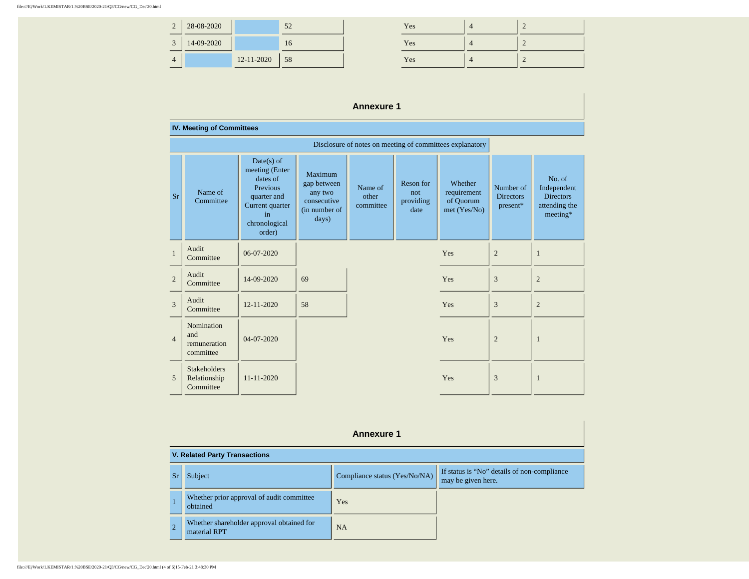| $\bigcap$<br>$\overline{ }$ | 28-08-2020 |            | 52 | Yes | $\Omega$<br>∠ |
|-----------------------------|------------|------------|----|-----|---------------|
| $\sim$                      | 14-09-2020 |            | 10 | Yes | $\Omega$<br>∠ |
| 4                           |            | 12-11-2020 | 58 | Yes | $\Omega$<br>∠ |

| Yes | $\mathcal{D}$ |
|-----|---------------|
| Yes | c             |
| Yes |               |

## **Annexure 1**

|                | <b>IV. Meeting of Committees</b>                         |                                                                                                                           |                                                                                   |                               |                                       |                                                     |                                           |                                                                        |
|----------------|----------------------------------------------------------|---------------------------------------------------------------------------------------------------------------------------|-----------------------------------------------------------------------------------|-------------------------------|---------------------------------------|-----------------------------------------------------|-------------------------------------------|------------------------------------------------------------------------|
|                | Disclosure of notes on meeting of committees explanatory |                                                                                                                           |                                                                                   |                               |                                       |                                                     |                                           |                                                                        |
| <b>Sr</b>      | Name of<br>Committee                                     | $Date(s)$ of<br>meeting (Enter<br>dates of<br>Previous<br>quarter and<br>Current quarter<br>in<br>chronological<br>order) | <b>Maximum</b><br>gap between<br>any two<br>consecutive<br>(in number of<br>days) | Name of<br>other<br>committee | Reson for<br>not<br>providing<br>date | Whether<br>requirement<br>of Quorum<br>met (Yes/No) | Number of<br><b>Directors</b><br>present* | No. of<br>Independent<br><b>Directors</b><br>attending the<br>meeting* |
| $\mathbf{1}$   | Audit<br>Committee                                       | 06-07-2020                                                                                                                |                                                                                   |                               |                                       | Yes                                                 | $\overline{2}$                            | 1                                                                      |
| $\overline{2}$ | Audit<br>Committee                                       | 14-09-2020                                                                                                                | 69                                                                                |                               |                                       | Yes                                                 | 3                                         | $\overline{2}$                                                         |
| 3              | Audit<br>Committee                                       | 12-11-2020                                                                                                                | 58                                                                                |                               | Yes                                   | 3                                                   | $\overline{2}$                            |                                                                        |
| $\overline{4}$ | Nomination<br>and<br>remuneration<br>committee           | 04-07-2020                                                                                                                |                                                                                   |                               |                                       | Yes                                                 | $\overline{2}$                            | 1                                                                      |
| $\overline{5}$ | <b>Stakeholders</b><br>Relationship<br>Committee         | 11-11-2020                                                                                                                |                                                                                   |                               |                                       | Yes                                                 | 3                                         | 1                                                                      |

|                | <b>Annexure 1</b>                                         |                               |                                                                   |  |  |  |
|----------------|-----------------------------------------------------------|-------------------------------|-------------------------------------------------------------------|--|--|--|
|                | <b>V. Related Party Transactions</b>                      |                               |                                                                   |  |  |  |
| Sr             | Subject                                                   | Compliance status (Yes/No/NA) | If status is "No" details of non-compliance<br>may be given here. |  |  |  |
|                | Whether prior approval of audit committee<br>obtained     | Yes                           |                                                                   |  |  |  |
| $\overline{2}$ | Whether shareholder approval obtained for<br>material RPT | <b>NA</b>                     |                                                                   |  |  |  |

#### file:///E|/Work/1.KEMISTAR/1.%20BSE/2020-21/Q3/CG/new/CG\_Dec'20.html (4 of 6)15-Feb-21 3:48:30 PM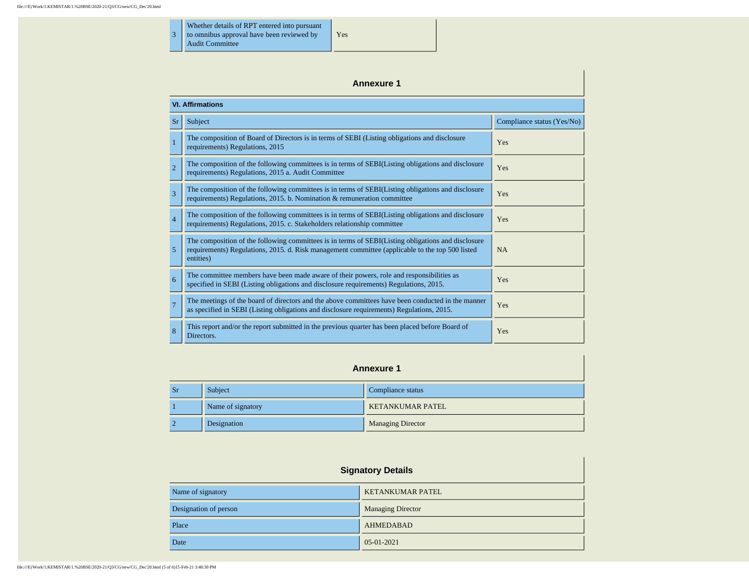3 Whether details of RPT entered into pursuant to omnibus approval have been reviewed by Audit Committee

**Annexure 1 VI. Affirmations** Sr Subject Compliance status (Yes/No) <sup>1</sup> The composition of Board of Directors is in terms of SEBI (Listing obligations and disclosure requirements) Regulations, 2015 <sup>2</sup> The composition of the following committees is in terms of SEBI(Listing obligations and disclosure requirements) Regulations, 2015 a. Audit Committee Pressure <sup>3</sup> The composition of the following committees is in terms of SEBI(Listing obligations and disclosure requirements) Regulations, 2015. b. Nomination & remuneration committee Yes The composition of the following committees is in terms of SEBI(Listing obligations and disclosure The composition of the following committiees is in terms of SEBI(Listing opingations and disclosure Pres 5 The composition of the following committees is in terms of SEBI(Listing obligations and disclosure requirements) Regulations, 2015. d. Risk management committee (applicable to the top 500 listed entities) NA The committee members have been made aware of their powers, role and responsibilities as specified in SEBI (Listing obligations and disclosure requirements) Regulations, 2015. <sup>7</sup> The meetings of the board of directors and the above committees have been conducted in the manner The meetings of the board of directors and the above committees have been conducted in the manner Yes as specified in SEBI (Listing obligations and disclosure requirements) Regulations, 2015. 8 This report and/or the report submitted in the previous quarter has been placed before Board of Yes

Yes

#### **Annexure 1**

| <b>Sr</b> | Subject           | Compliance status        |
|-----------|-------------------|--------------------------|
|           | Name of signatory | <b>KETANKUMAR PATEL</b>  |
|           | Designation       | <b>Managing Director</b> |

| <b>Signatory Details</b> |                          |  |
|--------------------------|--------------------------|--|
| Name of signatory        | <b>KETANKUMAR PATEL</b>  |  |
| Designation of person    | <b>Managing Director</b> |  |
| Place                    | <b>AHMEDABAD</b>         |  |
| Date                     | $05-01-2021$             |  |